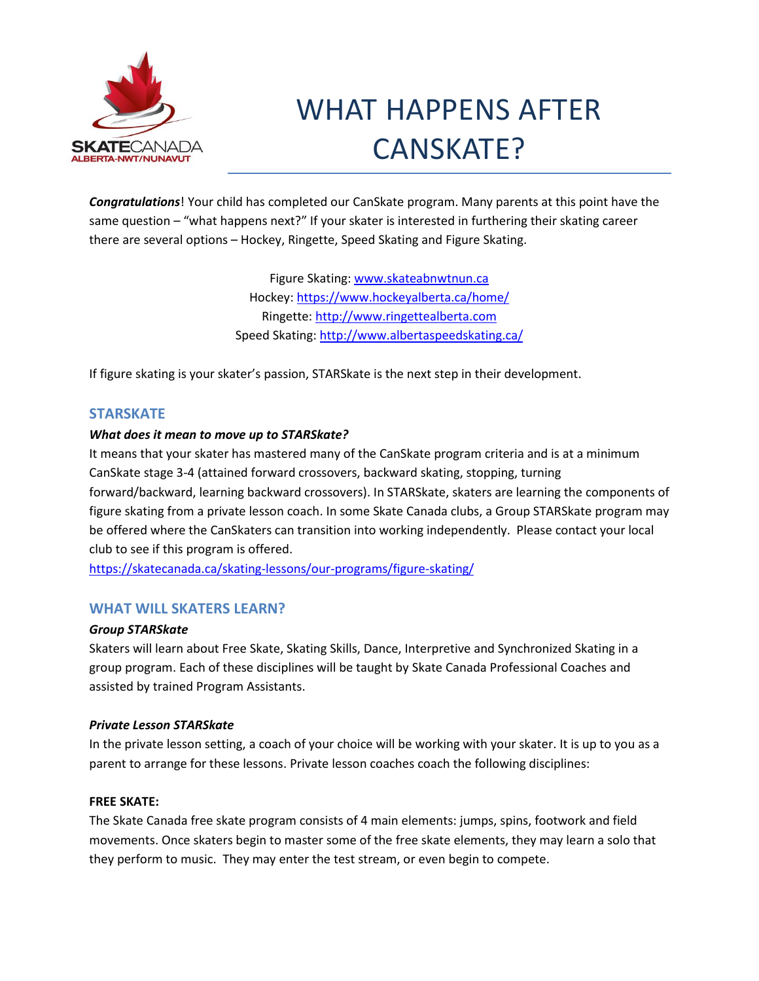

# WHAT HAPPENS AFTER CANSKATE?

*Congratulations*! Your child has completed our CanSkate program. Many parents at this point have the same question – "what happens next?" If your skater is interested in furthering their skating career there are several options – Hockey, Ringette, Speed Skating and Figure Skating.

> Figure Skating: [www.skateabnwtnun.ca](http://www.skateabnwtnun.ca/) Hockey[: https://www.hockeyalberta.ca/home/](https://www.hockeyalberta.ca/home/) Ringette: [http://www.ringettealberta.com](http://www.ringettealberta.com/) Speed Skating:<http://www.albertaspeedskating.ca/>

If figure skating is your skater's passion, STARSkate is the next step in their development.

# **STARSKATE**

# *What does it mean to move up to STARSkate?*

It means that your skater has mastered many of the CanSkate program criteria and is at a minimum CanSkate stage 3-4 (attained forward crossovers, backward skating, stopping, turning forward/backward, learning backward crossovers). In STARSkate, skaters are learning the components of figure skating from a private lesson coach. In some Skate Canada clubs, a Group STARSkate program may be offered where the CanSkaters can transition into working independently. Please contact your local club to see if this program is offered.

<https://skatecanada.ca/skating-lessons/our-programs/figure-skating/>

# **WHAT WILL SKATERS LEARN?**

# *Group STARSkate*

Skaters will learn about Free Skate, Skating Skills, Dance, Interpretive and Synchronized Skating in a group program. Each of these disciplines will be taught by Skate Canada Professional Coaches and assisted by trained Program Assistants.

# *Private Lesson STARSkate*

In the private lesson setting, a coach of your choice will be working with your skater. It is up to you as a parent to arrange for these lessons. Private lesson coaches coach the following disciplines:

# **FREE SKATE:**

The Skate Canada free skate program consists of 4 main elements: jumps, spins, footwork and field movements. Once skaters begin to master some of the free skate elements, they may learn a solo that they perform to music. They may enter the test stream, or even begin to compete.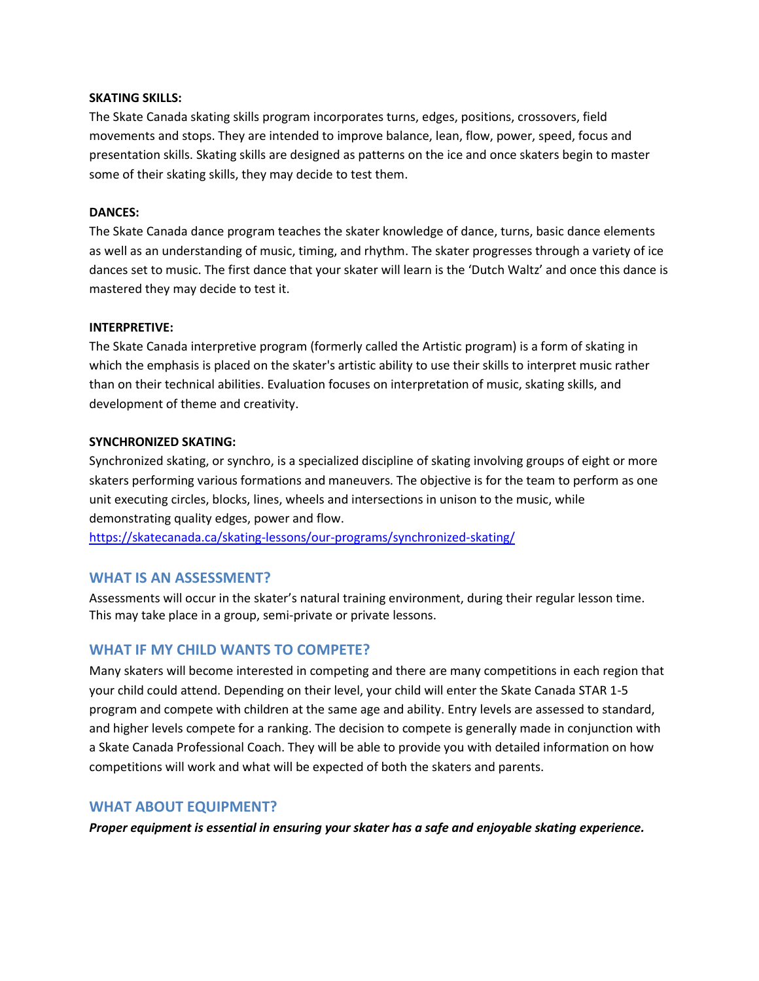## **SKATING SKILLS:**

The Skate Canada skating skills program incorporates turns, edges, positions, crossovers, field movements and stops. They are intended to improve balance, lean, flow, power, speed, focus and presentation skills. Skating skills are designed as patterns on the ice and once skaters begin to master some of their skating skills, they may decide to test them.

## **DANCES:**

The Skate Canada dance program teaches the skater knowledge of dance, turns, basic dance elements as well as an understanding of music, timing, and rhythm. The skater progresses through a variety of ice dances set to music. The first dance that your skater will learn is the 'Dutch Waltz' and once this dance is mastered they may decide to test it.

#### **INTERPRETIVE:**

The Skate Canada interpretive program (formerly called the Artistic program) is a form of skating in which the emphasis is placed on the skater's artistic ability to use their skills to interpret music rather than on their technical abilities. Evaluation focuses on interpretation of music, skating skills, and development of theme and creativity.

#### **SYNCHRONIZED SKATING:**

Synchronized skating, or synchro, is a specialized discipline of skating involving groups of eight or more skaters performing various formations and maneuvers. The objective is for the team to perform as one unit executing circles, blocks, lines, wheels and intersections in unison to the music, while demonstrating quality edges, power and flow.

<https://skatecanada.ca/skating-lessons/our-programs/synchronized-skating/>

# **WHAT IS AN ASSESSMENT?**

Assessments will occur in the skater's natural training environment, during their regular lesson time. This may take place in a group, semi-private or private lessons.

# **WHAT IF MY CHILD WANTS TO COMPETE?**

Many skaters will become interested in competing and there are many competitions in each region that your child could attend. Depending on their level, your child will enter the Skate Canada STAR 1-5 program and compete with children at the same age and ability. Entry levels are assessed to standard, and higher levels compete for a ranking. The decision to compete is generally made in conjunction with a Skate Canada Professional Coach. They will be able to provide you with detailed information on how competitions will work and what will be expected of both the skaters and parents.

# **WHAT ABOUT EQUIPMENT?**

*Proper equipment is essential in ensuring your skater has a safe and enjoyable skating experience.*